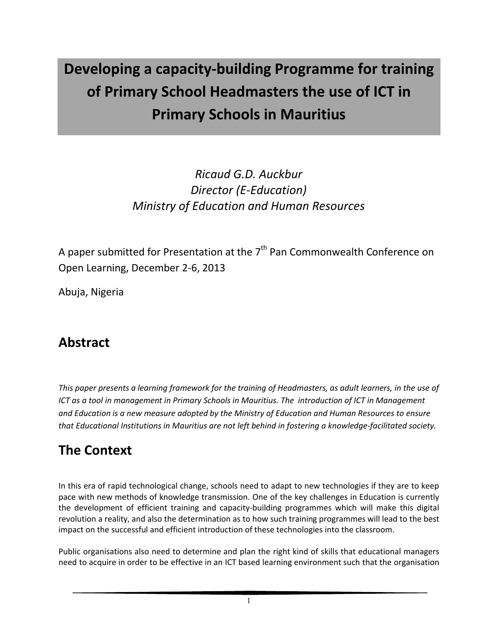# **Developing a capacity-building Programme for training of Primary School Headmasters the use of ICT in Primary Schools in Mauritius**

### *Ricaud G.D. Auckbur Director (E-Education) Ministry of Education and Human Resources*

A paper submitted for Presentation at the  $7<sup>th</sup>$  Pan Commonwealth Conference on Open Learning, December 2-6, 2013

Abuja, Nigeria

### **Abstract**

*This paper presents a learning framework for the training of Headmasters, as adult learners, in the use of ICT as a tool in management in Primary Schools in Mauritius. The introduction of ICT in Management and Education is a new measure adopted by the Ministry of Education and Human Resources to ensure that Educational Institutions in Mauritius are not left behind in fostering a knowledge-facilitated society.*

# **The Context**

In this era of rapid technological change, schools need to adapt to new technologies if they are to keep pace with new methods of knowledge transmission. One of the key challenges in Education is currently the development of efficient training and capacity-building programmes which will make this digital revolution a reality, and also the determination as to how such training programmes will lead to the best impact on the successful and efficient introduction of these technologies into the classroom.

Public organisations also need to determine and plan the right kind of skills that educational managers need to acquire in order to be effective in an ICT based learning environment such that the organisation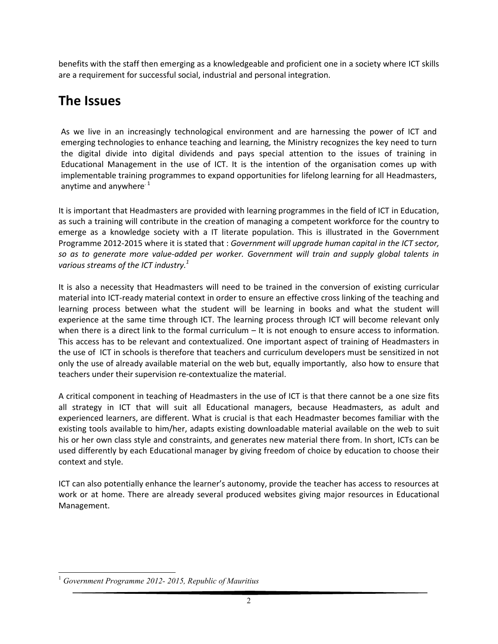benefits with the staff then emerging as a knowledgeable and proficient one in a society where ICT skills are a requirement for successful social, industrial and personal integration.

### **The Issues**

As we live in an increasingly technological environment and are harnessing the power of ICT and emerging technologies to enhance teaching and learning, the Ministry recognizes the key need to turn the digital divide into digital dividends and pays special attention to the issues of training in Educational Management in the use of ICT. It is the intention of the organisation comes up with implementable training programmes to expand opportunities for lifelong learning for all Headmasters, anytime and anywhere  $1$ 

It is important that Headmasters are provided with learning programmes in the field of ICT in Education, as such a training will contribute in the creation of managing a competent workforce for the country to emerge as a knowledge society with a IT literate population. This is illustrated in the Government Programme 2012-2015 where it is stated that : *Government will upgrade human capital in the ICT sector, so as to generate more value-added per worker. Government will train and supply global talents in various streams of the ICT industry.1*

It is also a necessity that Headmasters will need to be trained in the conversion of existing curricular material into ICT-ready material context in order to ensure an effective cross linking of the teaching and learning process between what the student will be learning in books and what the student will experience at the same time through ICT. The learning process through ICT will become relevant only when there is a direct link to the formal curriculum – It is not enough to ensure access to information. This access has to be relevant and contextualized. One important aspect of training of Headmasters in the use of ICT in schools is therefore that teachers and curriculum developers must be sensitized in not only the use of already available material on the web but, equally importantly, also how to ensure that teachers under their supervision re-contextualize the material.

A critical component in teaching of Headmasters in the use of ICT is that there cannot be a one size fits all strategy in ICT that will suit all Educational managers, because Headmasters, as adult and experienced learners, are different. What is crucial is that each Headmaster becomes familiar with the existing tools available to him/her, adapts existing downloadable material available on the web to suit his or her own class style and constraints, and generates new material there from. In short, ICTs can be used differently by each Educational manager by giving freedom of choice by education to choose their context and style.

ICT can also potentially enhance the learner's autonomy, provide the teacher has access to resources at work or at home. There are already several produced websites giving major resources in Educational Management.

<sup>1</sup> *Government Programme 2012- 2015, Republic of Mauritius*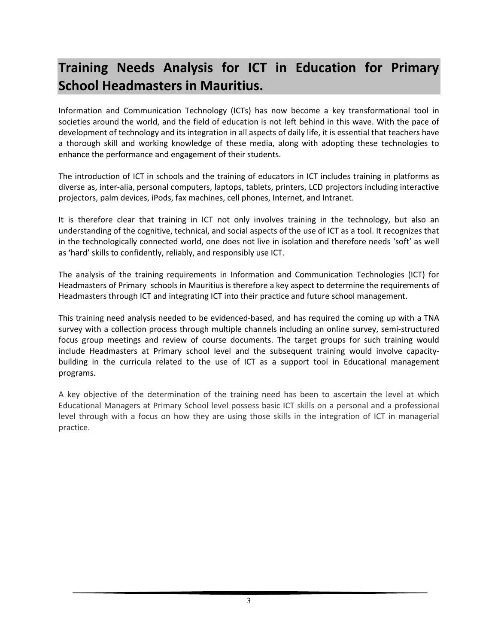# **Training Needs Analysis for ICT in Education for Primary School Headmasters in Mauritius.**

Information and Communication Technology (ICTs) has now become a key transformational tool in societies around the world, and the field of education is not left behind in this wave. With the pace of development of technology and its integration in all aspects of daily life, it is essential that teachers have a thorough skill and working knowledge of these media, along with adopting these technologies to enhance the performance and engagement of their students.

The introduction of ICT in schools and the training of educators in ICT includes training in platforms as diverse as, inter-alia, personal computers, laptops, tablets, printers, LCD projectors including interactive projectors, palm devices, iPods, fax machines, cell phones, Internet, and Intranet.

It is therefore clear that training in ICT not only involves training in the technology, but also an understanding of the cognitive, technical, and social aspects of the use of ICT as a tool. It recognizes that in the technologically connected world, one does not live in isolation and therefore needs 'soft' as well as 'hard' skills to confidently, reliably, and responsibly use ICT.

The analysis of the training requirements in Information and Communication Technologies (ICT) for Headmasters of Primary schools in Mauritius is therefore a key aspect to determine the requirements of Headmasters through ICT and integrating ICT into their practice and future school management.

This training need analysis needed to be evidenced-based, and has required the coming up with a TNA survey with a collection process through multiple channels including an online survey, semi-structured focus group meetings and review of course documents. The target groups for such training would include Headmasters at Primary school level and the subsequent training would involve capacitybuilding in the curricula related to the use of ICT as a support tool in Educational management programs.

A key objective of the determination of the training need has been to ascertain the level at which Educational Managers at Primary School level possess basic ICT skills on a personal and a professional level through with a focus on how they are using those skills in the integration of ICT in managerial practice.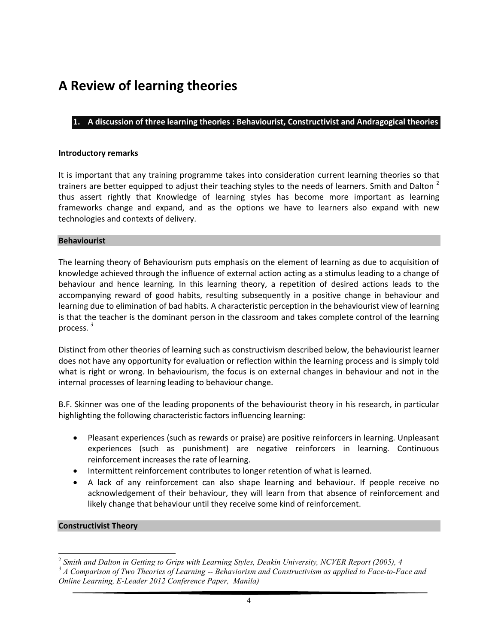### **A Review of learning theories**

#### **1. A discussion of three learning theories : Behaviourist, Constructivist and Andragogical theories**

#### **Introductory remarks**

It is important that any training programme takes into consideration current learning theories so that trainers are better equipped to adjust their teaching styles to the needs of learners. Smith and Dalton <sup>2</sup> thus assert rightly that Knowledge of learning styles has become more important as learning frameworks change and expand, and as the options we have to learners also expand with new technologies and contexts of delivery.

#### **Behaviourist**

The learning theory of Behaviourism puts emphasis on the element of learning as due to acquisition of knowledge achieved through the influence of external action acting as a stimulus leading to a change of behaviour and hence learning. In this learning theory, a repetition of desired actions leads to the accompanying reward of good habits, resulting subsequently in a positive change in behaviour and learning due to elimination of bad habits. A characteristic perception in the behaviourist view of learning is that the teacher is the dominant person in the classroom and takes complete control of the learning process*. 3*

Distinct from other theories of learning such as constructivism described below, the behaviourist learner does not have any opportunity for evaluation or reflection within the learning process and is simply told what is right or wrong. In behaviourism, the focus is on external changes in behaviour and not in the internal processes of learning leading to behaviour change.

B.F. Skinner was one of the leading proponents of the behaviourist theory in his research, in particular highlighting the following characteristic factors influencing learning:

- Pleasant experiences (such as rewards or praise) are positive reinforcers in learning. Unpleasant experiences (such as punishment) are negative reinforcers in learning. Continuous reinforcement increases the rate of learning.
- Intermittent reinforcement contributes to longer retention of what is learned.
- ∑ A lack of any reinforcement can also shape learning and behaviour. If people receive no acknowledgement of their behaviour, they will learn from that absence of reinforcement and likely change that behaviour until they receive some kind of reinforcement.

#### **Constructivist Theory**

<sup>2</sup> *Smith and Dalton in Getting to Grips with Learning Styles, Deakin University, NCVER Report (2005), 4*

*<sup>3</sup> A Comparison of Two Theories of Learning -- Behaviorism and Constructivism as applied to Face-to-Face and Online Learning, E-Leader 2012 Conference Paper, Manila)*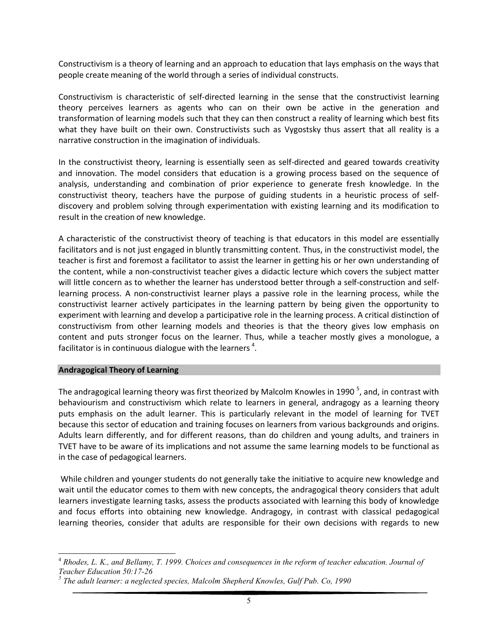Constructivism is a theory of learning and an approach to education that lays emphasis on the ways that people create meaning of the world through a series of individual constructs.

Constructivism is characteristic of self-directed learning in the sense that the constructivist learning theory perceives learners as agents who can on their own be active in the generation and transformation of learning models such that they can then construct a reality of learning which best fits what they have built on their own. Constructivists such as Vygostsky thus assert that all reality is a narrative construction in the imagination of individuals.

In the constructivist theory, learning is essentially seen as self-directed and geared towards creativity and innovation. The model considers that education is a growing process based on the sequence of analysis, understanding and combination of prior experience to generate fresh knowledge. In the constructivist theory, teachers have the purpose of guiding students in a heuristic process of selfdiscovery and problem solving through experimentation with existing learning and its modification to result in the creation of new knowledge.

A characteristic of the constructivist theory of teaching is that educators in this model are essentially facilitators and is not just engaged in bluntly transmitting content. Thus, in the constructivist model, the teacher is first and foremost a facilitator to assist the learner in getting his or her own understanding of the content, while a non-constructivist teacher gives a didactic lecture which covers the subject matter will little concern as to whether the learner has understood better through a self-construction and selflearning process. A non-constructivist learner plays a passive role in the learning process, while the constructivist learner actively participates in the learning pattern by being given the opportunity to experiment with learning and develop a participative role in the learning process. A critical distinction of constructivism from other learning models and theories is that the theory gives low emphasis on content and puts stronger focus on the learner. Thus, while a teacher mostly gives a monologue, a facilitator is in continuous dialogue with the learners  $^4$ .

#### **Andragogical Theory of Learning**

The andragogical learning theory was first theorized by Malcolm Knowles in 1990<sup>5</sup>, and, in contrast with behaviourism and constructivism which relate to learners in general, andragogy as a learning theory puts emphasis on the adult learner. This is particularly relevant in the model of learning for TVET because this sector of education and training focuses on learners from various backgrounds and origins. Adults learn differently, and for different reasons, than do children and young adults, and trainers in TVET have to be aware of its implications and not assume the same learning models to be functional as in the case of pedagogical learners.

While children and younger students do not generally take the initiative to acquire new knowledge and wait until the educator comes to them with new concepts, the andragogical theory considers that adult learners investigate learning tasks, assess the products associated with learning this body of knowledge and focus efforts into obtaining new knowledge. Andragogy, in contrast with classical pedagogical learning theories, consider that adults are responsible for their own decisions with regards to new

<sup>4</sup> *Rhodes, L. K., and Bellamy, T. 1999. Choices and consequences in the reform of teacher education. Journal of Teacher Education 50:17-26*

*<sup>5</sup> The adult learner: a neglected species, Malcolm Shepherd Knowles, Gulf Pub. Co, 1990*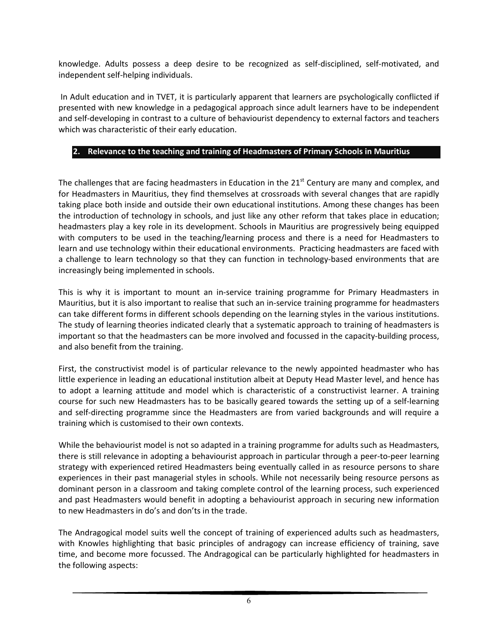knowledge. Adults possess a deep desire to be recognized as self-disciplined, self-motivated, and independent self-helping individuals.

In Adult education and in TVET, it is particularly apparent that learners are psychologically conflicted if presented with new knowledge in a pedagogical approach since adult learners have to be independent and self-developing in contrast to a culture of behaviourist dependency to external factors and teachers which was characteristic of their early education.

#### **2. Relevance to the teaching and training of Headmasters of Primary Schools in Mauritius**

The challenges that are facing headmasters in Education in the  $21<sup>st</sup>$  Century are many and complex, and for Headmasters in Mauritius, they find themselves at crossroads with several changes that are rapidly taking place both inside and outside their own educational institutions. Among these changes has been the introduction of technology in schools, and just like any other reform that takes place in education; headmasters play a key role in its development. Schools in Mauritius are progressively being equipped with computers to be used in the teaching/learning process and there is a need for Headmasters to learn and use technology within their educational environments. Practicing headmasters are faced with a challenge to learn technology so that they can function in technology-based environments that are increasingly being implemented in schools.

This is why it is important to mount an in-service training programme for Primary Headmasters in Mauritius, but it is also important to realise that such an in-service training programme for headmasters can take different forms in different schools depending on the learning styles in the various institutions. The study of learning theories indicated clearly that a systematic approach to training of headmasters is important so that the headmasters can be more involved and focussed in the capacity-building process, and also benefit from the training.

First, the constructivist model is of particular relevance to the newly appointed headmaster who has little experience in leading an educational institution albeit at Deputy Head Master level, and hence has to adopt a learning attitude and model which is characteristic of a constructivist learner. A training course for such new Headmasters has to be basically geared towards the setting up of a self-learning and self-directing programme since the Headmasters are from varied backgrounds and will require a training which is customised to their own contexts.

While the behaviourist model is not so adapted in a training programme for adults such as Headmasters, there is still relevance in adopting a behaviourist approach in particular through a peer-to-peer learning strategy with experienced retired Headmasters being eventually called in as resource persons to share experiences in their past managerial styles in schools. While not necessarily being resource persons as dominant person in a classroom and taking complete control of the learning process, such experienced and past Headmasters would benefit in adopting a behaviourist approach in securing new information to new Headmasters in do's and don'ts in the trade.

The Andragogical model suits well the concept of training of experienced adults such as headmasters, with Knowles highlighting that basic principles of andragogy can increase efficiency of training, save time, and become more focussed. The Andragogical can be particularly highlighted for headmasters in the following aspects: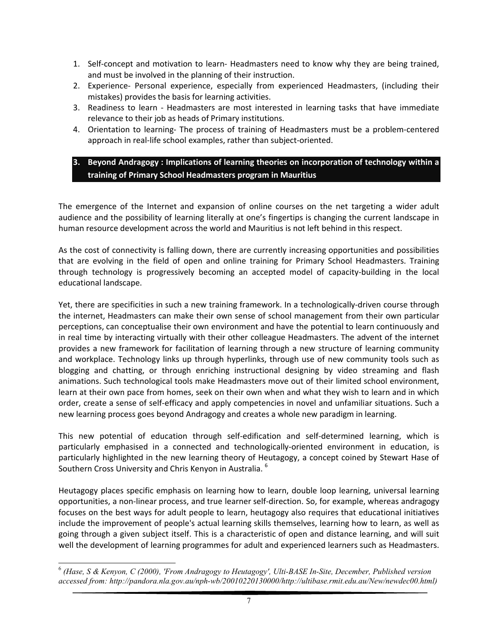- 1. Self-concept and motivation to learn- Headmasters need to know why they are being trained, and must be involved in the planning of their instruction.
- 2. Experience- Personal experience, especially from experienced Headmasters, (including their mistakes) provides the basis for learning activities.
- 3. Readiness to learn Headmasters are most interested in learning tasks that have immediate relevance to their job as heads of Primary institutions.
- 4. Orientation to learning- The process of training of Headmasters must be a problem-centered approach in real-life school examples, rather than subject-oriented.

#### **3. Beyond Andragogy : Implications of learning theories on incorporation of technology within a training of Primary School Headmasters program in Mauritius**

The emergence of the Internet and expansion of online courses on the net targeting a wider adult audience and the possibility of learning literally at one's fingertips is changing the current landscape in human resource development across the world and Mauritius is not left behind in this respect.

As the cost of connectivity is falling down, there are currently increasing opportunities and possibilities that are evolving in the field of open and online training for Primary School Headmasters. Training through technology is progressively becoming an accepted model of capacity-building in the local educational landscape.

Yet, there are specificities in such a new training framework. In a technologically-driven course through the internet, Headmasters can make their own sense of school management from their own particular perceptions, can conceptualise their own environment and have the potential to learn continuously and in real time by interacting virtually with their other colleague Headmasters. The advent of the internet provides a new framework for facilitation of learning through a new structure of learning community and workplace. Technology links up through hyperlinks, through use of new community tools such as blogging and chatting, or through enriching instructional designing by video streaming and flash animations. Such technological tools make Headmasters move out of their limited school environment, learn at their own pace from homes, seek on their own when and what they wish to learn and in which order, create a sense of self-efficacy and apply competencies in novel and unfamiliar situations. Such a new learning process goes beyond Andragogy and creates a whole new paradigm in learning.

This new potential of education through self-edification and self-determined learning, which is particularly emphasised in a connected and technologically-oriented environment in education, is particularly highlighted in the new learning theory of Heutagogy, a concept coined by Stewart Hase of Southern Cross University and Chris Kenyon in Australia. <sup>6</sup>

Heutagogy places specific emphasis on learning how to learn, double loop learning, universal learning opportunities, a non-linear process, and true learner self-direction. So, for example, whereas andragogy focuses on the best ways for adult people to learn, heutagogy also requires that educational initiatives include the improvement of people's actual learning skills themselves, learning how to learn, as well as going through a given subject itself. This is a characteristic of open and distance learning, and will suit well the development of learning programmes for adult and experienced learners such as Headmasters.

<sup>6</sup> *(Hase, S & Kenyon, C (2000), 'From Andragogy to Heutagogy', Ulti-BASE In-Site, December, Published version accessed from: http://pandora.nla.gov.au/nph-wb/20010220130000/http://ultibase.rmit.edu.au/New/newdec00.html)*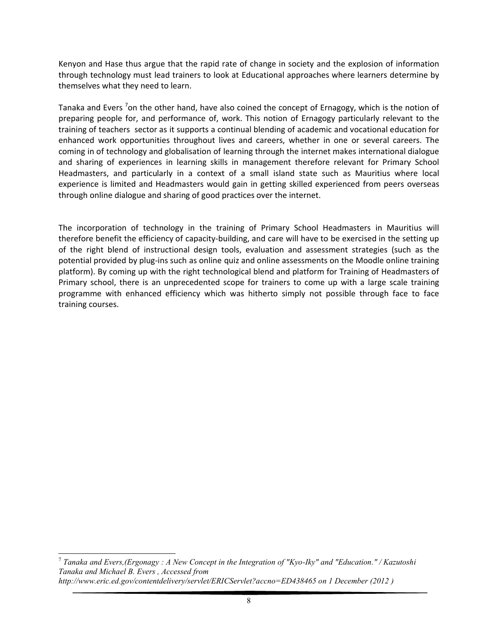Kenyon and Hase thus argue that the rapid rate of change in society and the explosion of information through technology must lead trainers to look at Educational approaches where learners determine by themselves what they need to learn.

Tanaka and Evers <sup>7</sup>on the other hand, have also coined the concept of Ernagogy, which is the notion of preparing people for, and performance of, work. This notion of Ernagogy particularly relevant to the training of teachers sector as it supports a continual blending of academic and vocational education for enhanced work opportunities throughout lives and careers, whether in one or several careers. The coming in of technology and globalisation of learning through the internet makes international dialogue and sharing of experiences in learning skills in management therefore relevant for Primary School Headmasters, and particularly in a context of a small island state such as Mauritius where local experience is limited and Headmasters would gain in getting skilled experienced from peers overseas through online dialogue and sharing of good practices over the internet.

The incorporation of technology in the training of Primary School Headmasters in Mauritius will therefore benefit the efficiency of capacity-building, and care will have to be exercised in the setting up of the right blend of instructional design tools, evaluation and assessment strategies (such as the potential provided by plug-ins such as online quiz and online assessments on the Moodle online training platform). By coming up with the right technological blend and platform for Training of Headmasters of Primary school, there is an unprecedented scope for trainers to come up with a large scale training programme with enhanced efficiency which was hitherto simply not possible through face to face training courses.

<sup>7</sup> *Tanaka and Evers,(Ergonagy : A New Concept in the Integration of "Kyo-Iky" and "Education." / Kazutoshi Tanaka and Michael B. Evers , Accessed from http://www.eric.ed.gov/contentdelivery/servlet/ERICServlet?accno=ED438465 on 1 December (2012 )*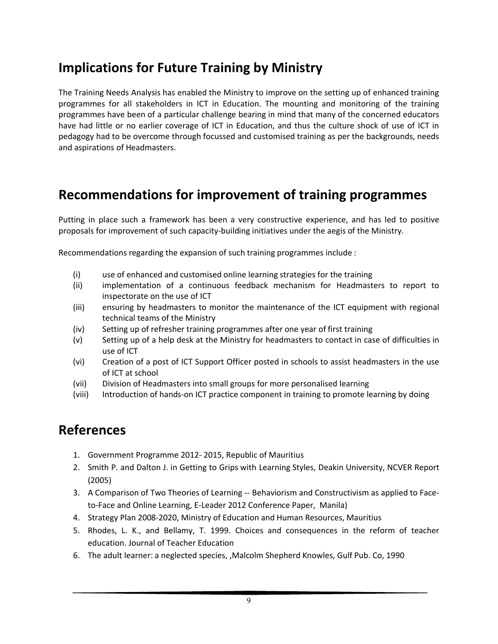### **Implications for Future Training by Ministry**

The Training Needs Analysis has enabled the Ministry to improve on the setting up of enhanced training programmes for all stakeholders in ICT in Education. The mounting and monitoring of the training programmes have been of a particular challenge bearing in mind that many of the concerned educators have had little or no earlier coverage of ICT in Education, and thus the culture shock of use of ICT in pedagogy had to be overcome through focussed and customised training as per the backgrounds, needs and aspirations of Headmasters.

### **Recommendations for improvement of training programmes**

Putting in place such a framework has been a very constructive experience, and has led to positive proposals for improvement of such capacity-building initiatives under the aegis of the Ministry.

Recommendations regarding the expansion of such training programmes include :

- (i) use of enhanced and customised online learning strategies for the training
- (ii) implementation of a continuous feedback mechanism for Headmasters to report to inspectorate on the use of ICT
- (iii) ensuring by headmasters to monitor the maintenance of the ICT equipment with regional technical teams of the Ministry
- (iv) Setting up of refresher training programmes after one year of first training
- (v) Setting up of a help desk at the Ministry for headmasters to contact in case of difficulties in use of ICT
- (vi) Creation of a post of ICT Support Officer posted in schools to assist headmasters in the use of ICT at school
- (vii) Division of Headmasters into small groups for more personalised learning
- (viii) Introduction of hands-on ICT practice component in training to promote learning by doing

### **References**

- 1. Government Programme 2012- 2015, Republic of Mauritius
- 2. Smith P. and Dalton J. in Getting to Grips with Learning Styles, Deakin University, NCVER Report (2005)
- 3. A Comparison of Two Theories of Learning -- Behaviorism and Constructivism as applied to Faceto-Face and Online Learning, E-Leader 2012 Conference Paper, Manila)
- 4. Strategy Plan 2008-2020, Ministry of Education and Human Resources, Mauritius
- 5. Rhodes, L. K., and Bellamy, T. 1999. Choices and consequences in the reform of teacher education. Journal of Teacher Education
- 6. The adult learner: a neglected species, ,Malcolm Shepherd Knowles, Gulf Pub. Co, 1990